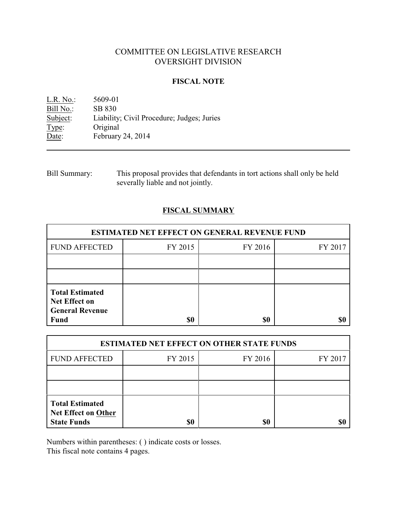# COMMITTEE ON LEGISLATIVE RESEARCH OVERSIGHT DIVISION

### **FISCAL NOTE**

L.R. No.: 5609-01 Bill No.: SB 830<br>Subject: Liability Liability; Civil Procedure; Judges; Juries Type: Original Date: February 24, 2014

Bill Summary: This proposal provides that defendants in tort actions shall only be held severally liable and not jointly.

# **FISCAL SUMMARY**

| <b>ESTIMATED NET EFFECT ON GENERAL REVENUE FUND</b>                                     |         |         |         |  |
|-----------------------------------------------------------------------------------------|---------|---------|---------|--|
| <b>FUND AFFECTED</b>                                                                    | FY 2015 | FY 2016 | FY 2017 |  |
|                                                                                         |         |         |         |  |
|                                                                                         |         |         |         |  |
| <b>Total Estimated</b><br><b>Net Effect on</b><br><b>General Revenue</b><br><b>Fund</b> | \$0     | \$0     |         |  |

| <b>ESTIMATED NET EFFECT ON OTHER STATE FUNDS</b>                           |         |         |         |  |
|----------------------------------------------------------------------------|---------|---------|---------|--|
| <b>FUND AFFECTED</b>                                                       | FY 2015 | FY 2016 | FY 2017 |  |
|                                                                            |         |         |         |  |
|                                                                            |         |         |         |  |
| <b>Total Estimated</b><br><b>Net Effect on Other</b><br><b>State Funds</b> | \$0     | \$0     |         |  |

Numbers within parentheses: ( ) indicate costs or losses.

This fiscal note contains 4 pages.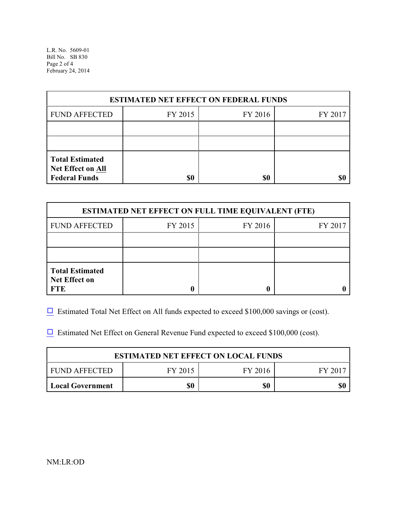L.R. No. 5609-01 Bill No. SB 830 Page 2 of 4 February 24, 2014

| <b>ESTIMATED NET EFFECT ON FEDERAL FUNDS</b>                        |         |         |         |  |
|---------------------------------------------------------------------|---------|---------|---------|--|
| <b>FUND AFFECTED</b>                                                | FY 2015 | FY 2016 | FY 2017 |  |
|                                                                     |         |         |         |  |
|                                                                     |         |         |         |  |
| <b>Total Estimated</b><br>Net Effect on All<br><b>Federal Funds</b> | \$0     | \$0     |         |  |

| <b>ESTIMATED NET EFFECT ON FULL TIME EQUIVALENT (FTE)</b>    |         |         |         |  |
|--------------------------------------------------------------|---------|---------|---------|--|
| <b>FUND AFFECTED</b>                                         | FY 2015 | FY 2016 | FY 2017 |  |
|                                                              |         |         |         |  |
|                                                              |         |         |         |  |
| <b>Total Estimated</b><br><b>Net Effect on</b><br><b>FTE</b> |         |         |         |  |

 $\Box$  Estimated Total Net Effect on All funds expected to exceed \$100,000 savings or (cost).

 $\Box$  Estimated Net Effect on General Revenue Fund expected to exceed \$100,000 (cost).

| <b>ESTIMATED NET EFFECT ON LOCAL FUNDS</b> |         |         |       |  |
|--------------------------------------------|---------|---------|-------|--|
| FUND AFFECTED                              | FY 2015 | FY 2016 | FV 20 |  |
| <b>Local Government</b>                    | \$0     | \$0     |       |  |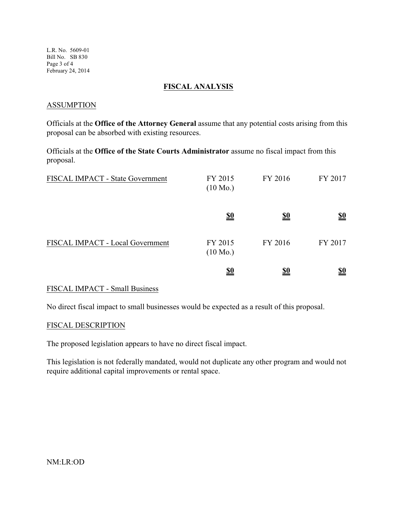L.R. No. 5609-01 Bill No. SB 830 Page 3 of 4 February 24, 2014

### **FISCAL ANALYSIS**

### **ASSUMPTION**

Officials at the **Office of the Attorney General** assume that any potential costs arising from this proposal can be absorbed with existing resources.

Officials at the **Office of the State Courts Administrator** assume no fiscal impact from this proposal.

| FISCAL IMPACT - State Government | FY 2015<br>$(10 \text{ Mo.})$ | FY 2016    | FY 2017                       |
|----------------------------------|-------------------------------|------------|-------------------------------|
|                                  | <u>\$0</u>                    | <u>\$0</u> | $\underline{\underline{\$0}}$ |
| FISCAL IMPACT - Local Government | FY 2015<br>$(10 \text{ Mo.})$ | FY 2016    | FY 2017                       |
|                                  | <u>\$0</u>                    | <u>\$0</u> | <u>\$0</u>                    |

## FISCAL IMPACT - Small Business

No direct fiscal impact to small businesses would be expected as a result of this proposal.

#### FISCAL DESCRIPTION

The proposed legislation appears to have no direct fiscal impact.

This legislation is not federally mandated, would not duplicate any other program and would not require additional capital improvements or rental space.